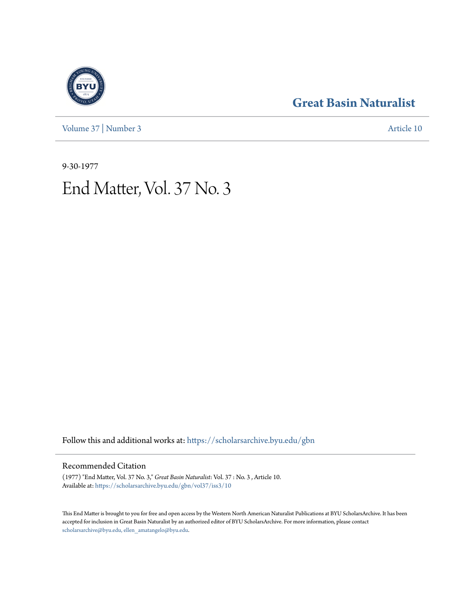[Volume 37](https://scholarsarchive.byu.edu/gbn/vol37?utm_source=scholarsarchive.byu.edu%2Fgbn%2Fvol37%2Fiss3%2F10&utm_medium=PDF&utm_campaign=PDFCoverPages) | [Number 3](https://scholarsarchive.byu.edu/gbn/vol37/iss3?utm_source=scholarsarchive.byu.edu%2Fgbn%2Fvol37%2Fiss3%2F10&utm_medium=PDF&utm_campaign=PDFCoverPages) [Article 10](https://scholarsarchive.byu.edu/gbn/vol37/iss3/10?utm_source=scholarsarchive.byu.edu%2Fgbn%2Fvol37%2Fiss3%2F10&utm_medium=PDF&utm_campaign=PDFCoverPages)

# **[Great Basin Naturalist](https://scholarsarchive.byu.edu/gbn?utm_source=scholarsarchive.byu.edu%2Fgbn%2Fvol37%2Fiss3%2F10&utm_medium=PDF&utm_campaign=PDFCoverPages)**

9-30-1977 End Matter, Vol. 37 No. 3

Follow this and additional works at: [https://scholarsarchive.byu.edu/gbn](https://scholarsarchive.byu.edu/gbn?utm_source=scholarsarchive.byu.edu%2Fgbn%2Fvol37%2Fiss3%2F10&utm_medium=PDF&utm_campaign=PDFCoverPages)

## Recommended Citation

(1977) "End Matter, Vol. 37 No. 3," *Great Basin Naturalist*: Vol. 37 : No. 3 , Article 10. Available at: [https://scholarsarchive.byu.edu/gbn/vol37/iss3/10](https://scholarsarchive.byu.edu/gbn/vol37/iss3/10?utm_source=scholarsarchive.byu.edu%2Fgbn%2Fvol37%2Fiss3%2F10&utm_medium=PDF&utm_campaign=PDFCoverPages)

This End Matter is brought to you for free and open access by the Western North American Naturalist Publications at BYU ScholarsArchive. It has been accepted for inclusion in Great Basin Naturalist by an authorized editor of BYU ScholarsArchive. For more information, please contact [scholarsarchive@byu.edu, ellen\\_amatangelo@byu.edu.](mailto:scholarsarchive@byu.edu,%20ellen_amatangelo@byu.edu)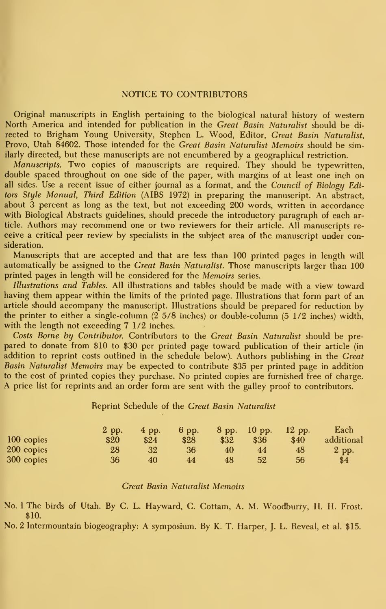#### NOTICE TO CONTRIBUTORS

Original manuscripts in English pertaining to the biological natural history of western North America and intended for publication in the Great Basin Naturalist should be di rected to Brigham Young University, Stephen L. Wood, Editor, Great Basin Naturalist, Provo, Utah 84602. Those intended for the Great Basin Naturalist Memoirs should be similarly directed, but these manuscripts are not encumbered by a geographical restriction.

Manuscripts. Two copies of manuscripts are required. They should be typewritten, double spaced throughout on one side of the paper, with margins of at least one inch on all sides. Use <sup>a</sup> recent issue of either journal as <sup>a</sup> format, and the Council of Biology Editors Style Manual, Third Edition (AIBS 1972) in preparing the manuscript. An abstract, about 3 percent as long as the text, but not exceeding 200 words, written in accordance with Biological Abstracts guidelines, should precede the introductory paragraph of each article. Authors may recommend one or two reviewers for their article. All manuscripts re ceive a critical peer review by specialists in the subject area of the manuscript under consideration.

Manuscripts that are accepted and that are less than 100 printed pages in length will automatically be assigned to the Great Basin Naturalist. Those manuscripts larger than 100 printed pages in length will be considered for the Memoirs series.

Illustrations and Tables. All illustrations and tables should be made with a view toward having them appear within the limits of the printed page. Illustrations that form part of an article should accompany the manuscript. Illustrations should be prepared for reduction by the printer to either a single-column (2 5/8 inches) or double-column (5 1/2 inches) width, with the length not exceeding 7 1/2 inches.

Costs Borne by Contributor. Contributors to the Great Basin Naturalist should be pre pared to donate from \$10 to \$30 per printed page toward publication of their article (in addition to reprint costs outlined in the schedule below). Authors publishing in the Great Basin Naturalist Memoirs may be expected to contribute \$35 per printed page in addition to the cost of printed copies they purchase. No printed copies are furnished free of charge. A price list for reprints and an order form are sent with the galley proof to contributors.

#### Reprint Schedule of the Great Basin Naturalist

|            | 2 pp. | 4 pp. | 6 pp. | 8 pp.  | $10$ pp. | $12$ pp. | Each       |
|------------|-------|-------|-------|--------|----------|----------|------------|
| 100 copies | \$20  | \$24  | \$28  | $\$32$ | \$36     | \$40     | additional |
| 200 copies | 28    | 32    | 36    | 40     | 44       | 48       | 2 pp.      |
| 300 copies | 36    | 40    | 44    | 48     | 52       | 56       | \$4        |

#### **Great Basin Naturalist Memoirs**

No. 1 The birds of Utah. By C. L. Hayward, C. Cottam, A. M. Woodburry, H. H. Frost. \$10.

No. 2 Intermountain biogeography: A symposium. By K. T. Harper, J. L. Reveal, et al. \$15.